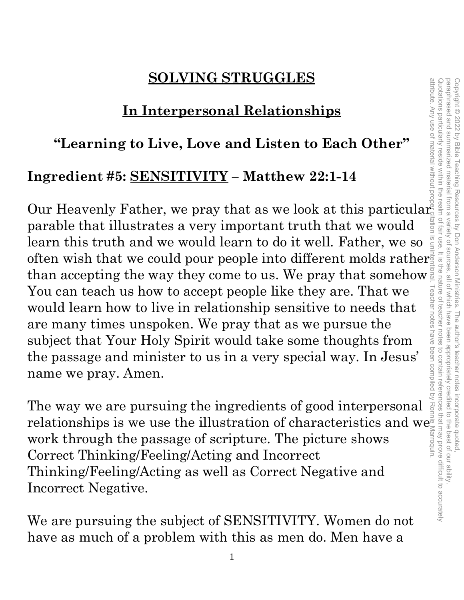### **SOLVING STRUGGLES**

### **In Interpersonal Relationships**

### **"Learning to Live, Love and Listen to Each Other"**

### **Ingredient #5: SENSITIVITY – Matthew 22:1-14**

Our Heavenly Father, we pray that as we look at this particular. parable that illustrates a very important truth that we would learn this truth and we would learn to do it well. Father, we so often wish that we could pour people into different molds rather than accepting the way they come to us. We pray that somehow You can teach us how to accept people like they are. That we would learn how to live in relationship sensitive to needs that are many times unspoken. We pray that as we pursue the subject that Your Holy Spirit would take some thoughts from the passage and minister to us in a very special way. In Jesus' name we pray. Amen.

The way we are pursuing the ingredients of good interpersonal relationships is we use the illustration of characteristics and we work through the passage of scripture. The picture shows Correct Thinking/Feeling/Acting and Incorrect Thinking/Feeling/Acting as well as Correct Negative and Incorrect Negative.

We are pursuing the subject of SENSITIVITY. Women do not have as much of a problem with this as men do. Men have a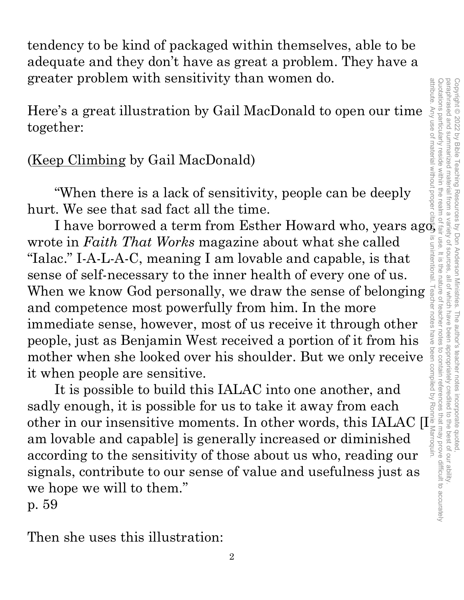tendency to be kind of packaged within themselves, able to be adequate and they don't have as great a problem. They have a greater problem with sensitivity than women do.

Here's a great illustration by Gail MacDonald to open our time together:

### (Keep Climbing by Gail MacDonald)

 "When there is a lack of sensitivity, people can be deeply hurt. We see that sad fact all the time.

I have borrowed a term from Esther Howard who, years ago, wrote in *Faith That Works* magazine about what she called "Ialac." I-A-L-A-C, meaning I am lovable and capable, is that sense of self-necessary to the inner health of every one of us. When we know God personally, we draw the sense of belonging and competence most powerfully from him. In the more immediate sense, however, most of us receive it through other people, just as Benjamin West received a portion of it from his mother when she looked over his shoulder. But we only receive it when people are sensitive.

It is possible to build this IALAC into one another, and sadly enough, it is possible for us to take it away from each other in our insensitive moments. In other words, this IALAC [I $_{\rm \odot}^{\rm \ddag}$ am lovable and capable] is generally increased or diminished according to the sensitivity of those about us who, reading our signals, contribute to our sense of value and usefulness just as we hope we will to them."

p. 59

Then she uses this illustration: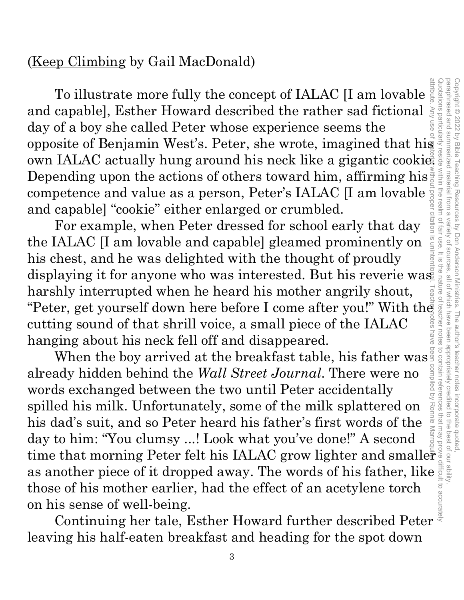### (Keep Climbing by Gail MacDonald)

To illustrate more fully the concept of IALAC [I am lovable and capable], Esther Howard described the rather sad fictional day of a boy she called Peter whose experience seems the To illustrate more fully the concept of IALAC [I am lovable  $\frac{1}{5}$ ]<br>and capable], Esther Howard described the rather sad fictional  $\frac{1}{5}$ <br>day of a boy she called Peter whose experience seems the<br>opposite of Benjamin own IALAC actually hung around his neck like a gigantic cookie. Depending upon the actions of others toward him, affirming his competence and value as a person, Peter's IALAC [I am lovable and capable] "cookie" either enlarged or crumbled. attribute. Any use of material without proper citation is unintentional. Teacher notes have been compiled by Ronnie Marroquin.

For example, when Peter dressed for school early that day the IALAC [I am lovable and capable] gleamed prominently on his chest, and he was delighted with the thought of proudly displaying it for anyone who was interested. But his reverie was harshly interrupted when he heard his mother angrily shout, "Peter, get yourself down here before I come after you!" With the cutting sound of that shrill voice, a small piece of the IALAC hanging about his neck fell off and disappeared.

When the boy arrived at the breakfast table, his father was already hidden behind the *Wall Street Journal*. There were no words exchanged between the two until Peter accidentally spilled his milk. Unfortunately, some of the milk splattered on his dad's suit, and so Peter heard his father's first words of the day to him: "You clumsy ...! Look what you've done!" A second When the boy arrived at the breakfast table, his father was already hidden behind the *Wall Street Journal*. There were no<br>words exchanged between the two until Peter accidentally<br>spilled his milk. Unfortunately, some of as another piece of it dropped away. The words of his father, like those of his mother earlier, had the effect of an acetylene torch on his sense of well-being.

Continuing her tale, Esther Howard further described Peter leaving his half-eaten breakfast and heading for the spot down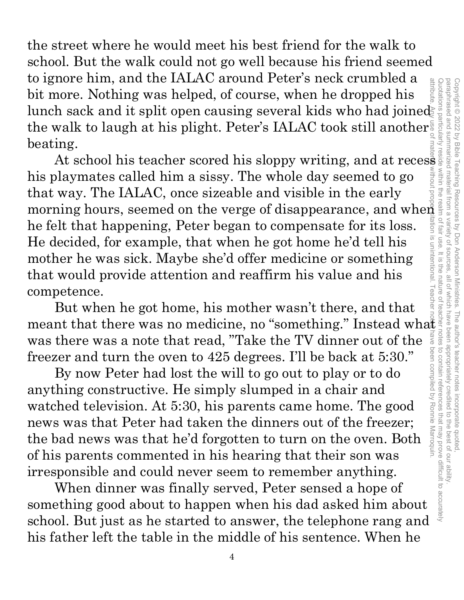the street where he would meet his best friend for the walk to school. But the walk could not go well because his friend seemed to ignore him, and the IALAC around Peter's neck crumbled a bit more. Nothing was helped, of course, when he dropped his lunch sack and it split open causing several kids who had joined the walk to laugh at his plight. Peter's IALAC took still another beating. Quotations particularly reside within the realm of fair use. It is the nature of teacher notes to contain references that may prove difficult to accurately

At school his teacher scored his sloppy writing, and at recess his playmates called him a sissy. The whole day seemed to go that way. The IALAC, once sizeable and visible in the early morning hours, seemed on the verge of disappearance, and when he felt that happening, Peter began to compensate for its loss. He decided, for example, that when he got home he'd tell his mother he was sick. Maybe she'd offer medicine or something that would provide attention and reaffirm his value and his competence. attribute. Any use of material without proper citation is unintentional. Teacher notes have been compiled by Ronnie Marroquin.

Copyright © 2022 by Bible Teaching Resources by Don Anderson Ministries. The author's teacher notes incorporate quoted,

paraphrased and summarized material from a variety of sources, all of which have been appropriately credited to the best of our ability.

Copyright © 2022 by Bible Teaching Resources by Don Anderson Ministries. The author's teacher notes incorporate quoted,<br>paraphrased and summarized material from a variety of sources, all of which have been appropriately cr

paraphrased and summarized material from a variety of sources

But when he got home, his mother wasn't there, and that meant that there was no medicine, no "something." Instead what was there was a note that read, "Take the TV dinner out of the freezer and turn the oven to 425 degrees. I'll be back at 5:30."

By now Peter had lost the will to go out to play or to do anything constructive. He simply slumped in a chair and watched television. At 5:30, his parents came home. The good news was that Peter had taken the dinners out of the freezer; the bad news was that he'd forgotten to turn on the oven. Both of his parents commented in his hearing that their son was irresponsible and could never seem to remember anything.

When dinner was finally served, Peter sensed a hope of something good about to happen when his dad asked him about school. But just as he started to answer, the telephone rang and his father left the table in the middle of his sentence. When he

4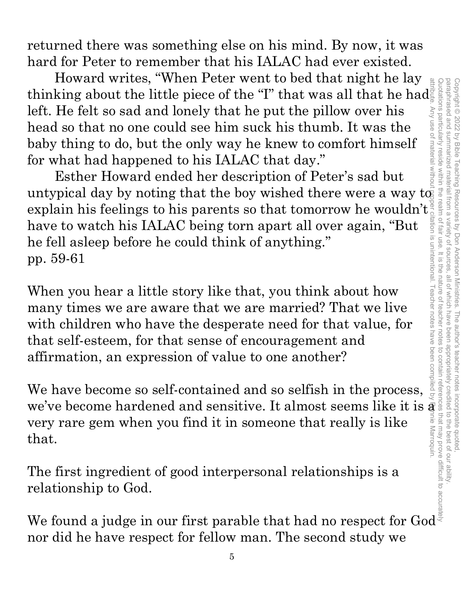returned there was something else on his mind. By now, it was hard for Peter to remember that his IALAC had ever existed.

Howard writes, "When Peter went to bed that night he lay thinking about the little piece of the "I" that was all that he had left. He felt so sad and lonely that he put the pillow over his head so that no one could see him suck his thumb. It was the baby thing to do, but the only way he knew to comfort himself for what had happened to his IALAC that day."

Esther Howard ended her description of Peter's sad but untypical day by noting that the boy wished there were a way  $\mathrm{t} \bar{\mathrm{q}}$ explain his feelings to his parents so that tomorrow he wouldn't have to watch his IALAC being torn apart all over again, "But he fell asleep before he could think of anything." pp. 59-61 attribute. Any use of material without proper citation is unintentional. Teacher notes have been compiled by Ronnie Marroquin.

When you hear a little story like that, you think about how many times we are aware that we are married? That we live with children who have the desperate need for that value, for that self-esteem, for that sense of encouragement and affirmation, an expression of value to one another?

We have become so self-contained and so selfish in the process, we've become hardened and sensitive. It almost seems like it is a very rare gem when you find it in someone that really is like that.

The first ingredient of good interpersonal relationships is a relationship to God.

We found a judge in our first parable that had no respect for God $^{\circ}$ nor did he have respect for fellow man. The second study we Quotations particularly reside within the realm of fair use. It is the nature of teacher notes to contain references that may prove difficult to accurately Copyright © 2022 by Bible Teaching Resources by Don Anderson Ministries. The author's teacher notes incorporate quoted,

Copyright © 2022 by Bible Teaching Resources by Don Anderson Ministries. The author's teacher notes incorporate quoted

paraphrased and summarized material from a variety of sources, all of which have been appropriately credited to the best of our ability.

all of which have been appropriately credited to the best of our ability

paraphrased and summarized material from a variety of sources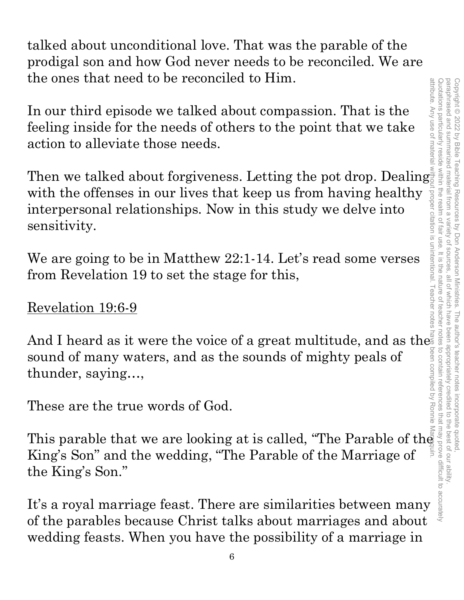talked about unconditional love. That was the parable of the prodigal son and how God never needs to be reconciled. We are the ones that need to be reconciled to Him.

In our third episode we talked about compassion. That is the feeling inside for the needs of others to the point that we take action to alleviate those needs.

Then we talked about forgiveness. Letting the pot drop. Dealing with the offenses in our lives that keep us from having healthy interpersonal relationships. Now in this study we delve into sensitivity.

We are going to be in Matthew 22:1-14. Let's read some verses from Revelation 19 to set the stage for this,

### Revelation 19:6-9

And I heard as it were the voice of a great multitude, and as the  $\,$ sound of many waters, and as the sounds of mighty peals of thunder, saying…, And I heard as it were the voice of a great multitude, and as the say as sound of many waters, and as the sounds of mighty peals of thunder, saying...,<br>
These are the true words of God.<br>
This parable that we are looking a

These are the true words of God.

King's Son" and the wedding, "The Parable of the Marriage of the King's Son."

It's a royal marriage feast. There are similarities between many of the parables because Christ talks about marriages and about wedding feasts. When you have the possibility of a marriage in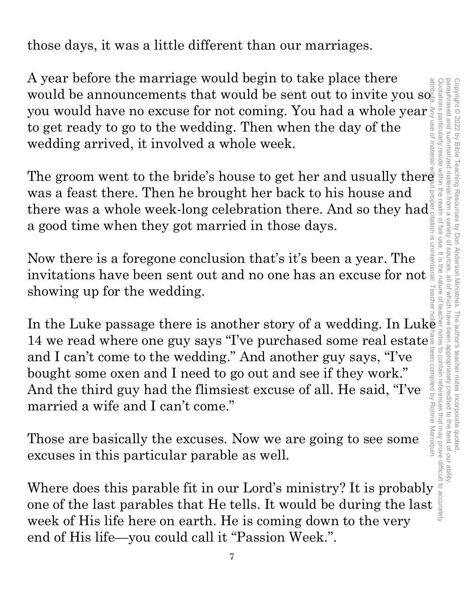those days, it was a little different than our marriages.

A year before the marriage would begin to take place there A year before the marriage would begin to take place there would be announcements that would be sent out to invite you so you would have no excuse for not coming. You had a whole year to get ready to go to the wedding. Then when the day of the wedding arrived, it involved a whole week.

The groom went to the bride's house to get her and usually there was a feast there. Then he brought her back to his house and there was a whole week-long celebration there. And so they had a good time when they got married in those days.

Now there is a foregone conclusion that's it's been a year. The invitations have been sent out and no one has an excuse for not showing up for the wedding.

In the Luke passage there is another story of a wedding. In Luk $\bar{\mathbf{e}}$  is 14 we read where one guy says "I've purchased some real estate and I can't come to the wedding." And another guy says, "I've bought some oxen and I need to go out and see if they work." And the third guy had the flimsiest excuse of all. He said, "I've married a wife and I can't come." The groom went to the bride's house to get her and usually there<br>was a feast there. Then he brought her back to his house and<br>there was a whole week-long celebration there. And so they had<br>a good time when they got marrie

Those are basically the excuses. Now we are going to see some excuses in this particular parable as well.

one of the last parables that He tells. It would be during the last week of His life here on earth. He is coming down to the very end of His life—you could call it "Passion Week.".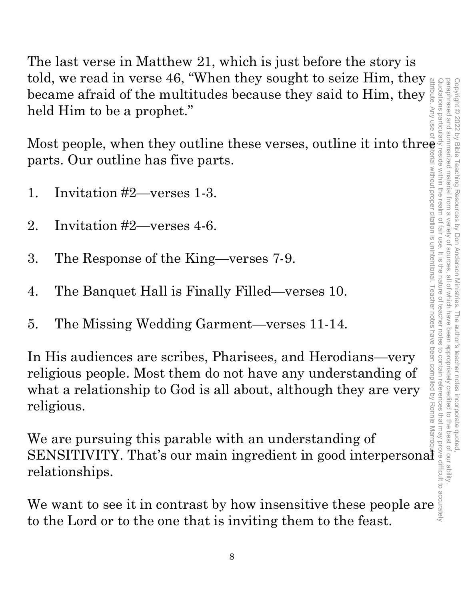The last verse in Matthew 21, which is just before the story is told, we read in verse 46, "When they sought to seize Him, they became afraid of the multitudes because they said to Him, they held Him to be a prophet."

Most people, when they outline these verses, outline it into three parts. Our outline has five parts.

- 1. Invitation #2—verses 1-3.
- 2. Invitation #2—verses 4-6.
- 3. The Response of the King—verses 7-9.
- 4. The Banquet Hall is Finally Filled—verses 10.
- 5. The Missing Wedding Garment—verses 11-14.

In His audiences are scribes, Pharisees, and Herodians—very religious people. Most them do not have any understanding of what a relationship to God is all about, although they are very religious. We read in verse 46, when they sought to selze rim, they<br>became afraid of the multitudes because they said to Him, they<br>held Him to be a prophet."<br>Most people, when they outline these verses, outline it into three<br>parts. O

We are pursuing this parable with an understanding of SENSITIVITY. That's our main ingredient in good interpersonal relationships.

to the Lord or to the one that is inviting them to the feast.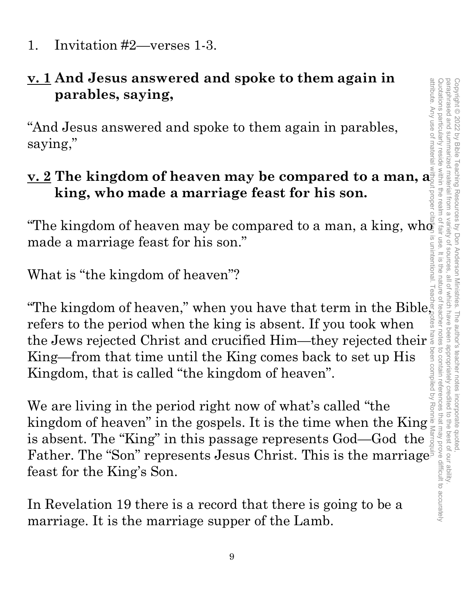1. Invitation #2—verses 1-3.

### **v. 1 And Jesus answered and spoke to them again in parables, saying,**

"And Jesus answered and spoke to them again in parables, saying,"

### **v. 2 The kingdom of heaven may be compared to a man, a king, who made a marriage feast for his son.**

"The kingdom of heaven may be compared to a man, a king, wh $\tilde{\Phi}$ made a marriage feast for his son."

What is "the kingdom of heaven"?

"The kingdom of heaven," when you have that term in the Bible refers to the period when the king is absent. If you took when the Jews rejected Christ and crucified Him—they rejected their  $\frac{3}{8}$ <br>King—from that time until the King comes back to set up His<br>Kingdom, that is called "the kingdom of heaven".<br>We are living in the period right now o King—from that time until the King comes back to set up His Kingdom, that is called "the kingdom of heaven".

We are living in the period right now of what's called "the kingdom of heaven" in the gospels. It is the time when the King is absent. The "King" in this passage represents God—God the Father. The "Son" represents Jesus Christ. This is the marriage feast for the King's Son.

In Revelation 19 there is a record that there is going to be a marriage. It is the marriage supper of the Lamb.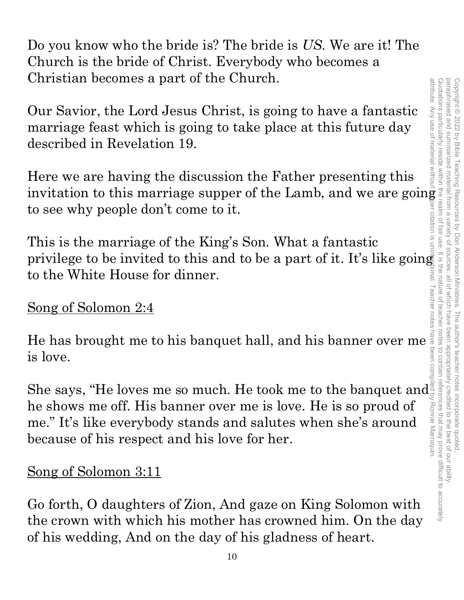paraphrased and summarized attribute. Any use of material without proper citation is unintentional. Teacher notes have been compiled by Ronnie Marroquin.Quotations particularly reside within the realm of fair use. It is the nature of teacher notes to contain references that may prove difficult to accurately paraphrased and summarized material from a variety of sources, all of which have been appropriately credited to the best of our ability. Copyright © 2022 by Bible Teaching Resources Copyright © 2022 by Bible Teaching Resources by Don Anderson Ministries. The author's teacher notes incorporate quoted, material from a variety of by Don Anderson Ministries. all of which have been appropriately credited to the best of our ability The author's teacher notes incorporate quoted motes to contain references that may prove difficult to accurately Ronnie Marroquin

Do you know who the bride is? The bride is *US*. We are it! The Church is the bride of Christ. Everybody who becomes a Christian becomes a part of the Church.

Our Savior, the Lord Jesus Christ, is going to have a fantastic marriage feast which is going to take place at this future day described in Revelation 19.

Here we are having the discussion the Father presenting this invitation to this marriage supper of the Lamb, and we are going to see why people don't come to it.

This is the marriage of the King's Son. What a fantastic privilege to be invited to this and to be a part of it. It's like going to the White House for dinner.

### Song of Solomon 2:4

He has brought me to his banquet hall, and his banner over me is love.

She says, "He loves me so much. He took me to the banquet and  $\frac{8}{5}$ he shows me off. His banner over me is love. He is so proud of me." It's like everybody stands and salutes when she's around because of his respect and his love for her.

### Song of Solomon 3:11

Go forth, O daughters of Zion, And gaze on King Solomon with the crown with which his mother has crowned him. On the day of his wedding, And on the day of his gladness of heart.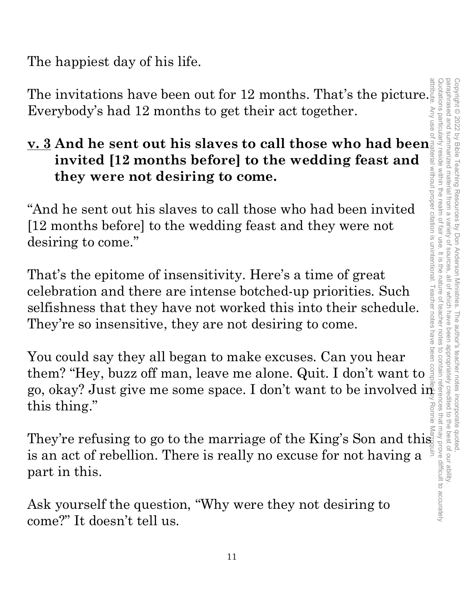The happiest day of his life.

The invitations have been out for 12 months. That's the picture. Everybody's had 12 months to get their act together.

### **v. 3 And he sent out his slaves to call those who had been invited [12 months before] to the wedding feast and they were not desiring to come.**

"And he sent out his slaves to call those who had been invited [12 months before] to the wedding feast and they were not desiring to come."

That's the epitome of insensitivity. Here's a time of great celebration and there are intense botched-up priorities. Such selfishness that they have not worked this into their schedule. They're so insensitive, they are not desiring to come.

You could say they all began to make excuses. Can you hear them? "Hey, buzz off man, leave me alone. Quit. I don't want to go, okay? Just give me some space. I don't want to be involved in this thing." Ronnie

They're refusing to go to the marriage of the King's Son and this is an act of rebellion. There is really no excuse for not having a part in this.

Ask yourself the question, "Why were they not desiring to come?" It doesn't tell us.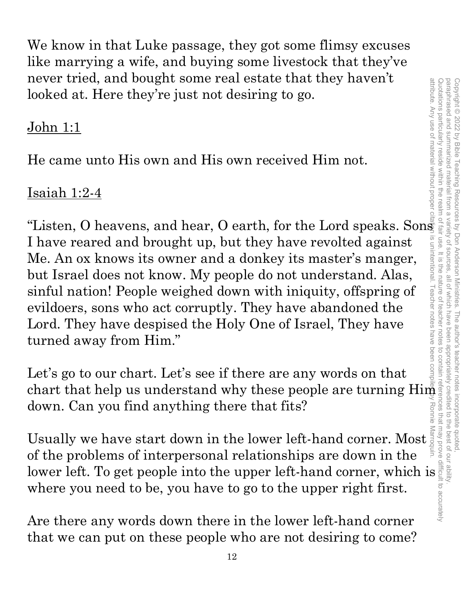paraphrased and summarized material from a attribute. Any use of material without proper citation is unintentional. Teacher notes have been compiled by Ronnie Marroquin.Quotations particularly reside within the realm of fair use. It is the nature of teacher notes to contain references that may prove difficult to accurately paraphrased and summarized material from a variety of sources, all of which have been appropriately credited to the best of our ability. Copyright © 2022 by Bible Teaching Resources by Don Anderson Ministries. The author's teacher notes incorporate quoted Copyright © 2022 by Bible Teaching Resources by Don Anderson Ministries. The author's teacher notes incorporate quoted, variety of sources. all of which have been appropriately credited to the best of our ability

We know in that Luke passage, they got some flimsy excuses like marrying a wife, and buying some livestock that they've never tried, and bought some real estate that they haven't looked at. Here they're just not desiring to go.

### John 1:1

He came unto His own and His own received Him not.

### Isaiah 1:2-4

"Listen, O heavens, and hear, O earth, for the Lord speaks. Sonst I have reared and brought up, but they have revolted against Me. An ox knows its owner and a donkey its master's manger, but Israel does not know. My people do not understand. Alas, sinful nation! People weighed down with iniquity, offspring of evildoers, sons who act corruptly. They have abandoned the Lord. They have despised the Holy One of Israel, They have turned away from Him." never tried, and bought some real estate that they naven to subcoded at. Here they're just not desiring to go.<br>
John 1:1<br>
He came unto His own and His own received Him not.<br>
Isaiah 1:2-4<br>
"Listen, O heavens, and hear, O ea

Let's go to our chart. Let's see if there are any words on that chart that help us understand why these people are turning  $\text{Him} \,$ down. Can you find anything there that fits?

down. Can you find anything there that fits?<br>Usually we have start down in the lower left-hand corner. Most of the problems of interpersonal relationships are down in the where you need to be, you have to go to the upper right first.

Are there any words down there in the lower left-hand corner that we can put on these people who are not desiring to come?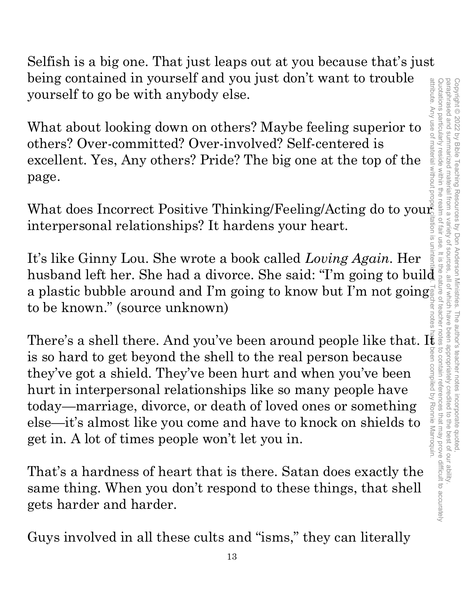Selfish is a big one. That just leaps out at you because that's just being contained in yourself and you just don't want to trouble yourself to go be with anybody else.

What about looking down on others? Maybe feeling superior to others? Over-committed? Over-involved? Self-centered is excellent. Yes, Any others? Pride? The big one at the top of the page.

What does Incorrect Positive Thinking/Feeling/Acting do to your interpersonal relationships? It hardens your heart.

being contained in yourself and you just don't want to trouble<br>yourself to go be with anybody else.<br>What about looking down on others? Maybe feeling superior to show<br>others? Over-committed? Over-involved? Self-centered is uninenti It's like Ginny Lou. She wrote a book called *Loving Again*. Her a plastic bubble around and I'm going to know but I'm not going to be known." (source unknown)

There's a shell there. And you've been around people like that. It is so hard to get beyond the shell to the real person because<br>they've got a shield. They've been hurt and when you've been<br>hurt in interpersonal relations is so hard to get beyond the shell to the real person because they've got a shield. They've been hurt and when you've been hurt in interpersonal relationships like so many people have today—marriage, divorce, or death of loved ones or something else—it's almost like you come and have to knock on shields to get in. A lot of times people won't let you in.

That's a hardness of heart that is there. Satan does exactly the same thing. When you don't respond to these things, that shell gets harder and harder.

Guys involved in all these cults and "isms," they can literally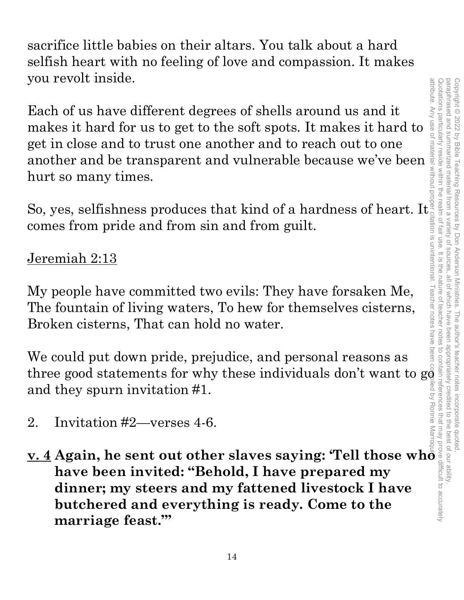sacrifice little babies on their altars. You talk about a hard selfish heart with no feeling of love and compassion. It makes you revolt inside.

Each of us have different degrees of shells around us and it makes it hard for us to get to the soft spots. It makes it hard to get in close and to trust one another and to reach out to one another and be transparent and vulnerable because we've been hurt so many times.

So, yes, selfishness produces that kind of a hardness of heart. It comes from pride and from sin and from guilt.

### Jeremiah 2:13

My people have committed two evils: They have forsaken Me, The fountain of living waters, To hew for themselves cisterns, Broken cisterns, That can hold no water.

We could put down pride, prejudice, and personal reasons as three good statements for why these individuals don't want to g $\mathring{\mathfrak{g}}$ and they spurn invitation #1.

- 2. Invitation #2—verses 4-6.
- **v. 4 Again, he sent out other slaves saying: 'Tell those who have been invited: "Behold, I have prepared my dinner; my steers and my fattened livestock I have butchered and everything is ready. Come to the marriage feast.'"**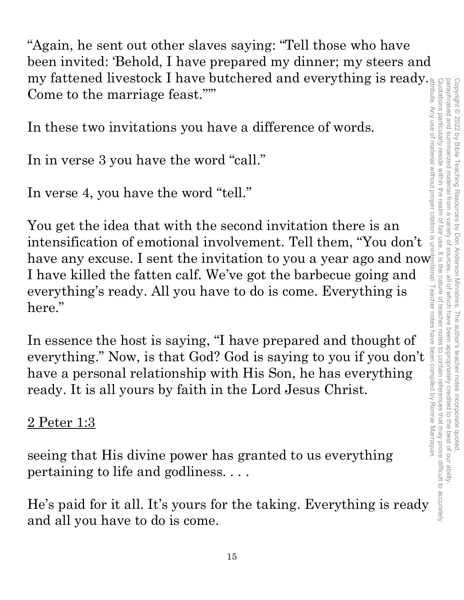"Again, he sent out other slaves saying: "Tell those who have been invited: 'Behold, I have prepared my dinner; my steers and my fattened livestock I have butchered and everything is ready. Come to the marriage feast."'"

In these two invitations you have a difference of words.

In in verse 3 you have the word "call."

In verse 4, you have the word "tell."

You get the idea that with the second invitation there is an intensification of emotional involvement. Tell them, "You don't have any excuse. I sent the invitation to you a year ago and now I have killed the fatten calf. We've got the barbecue going and everything's ready. All you have to do is come. Everything is here."

In essence the host is saying, "I have prepared and thought of everything." Now, is that God? God is saying to you if you don't have a personal relationship with His Son, he has everything ready. It is all yours by faith in the Lord Jesus Christ.

2 Peter 1:3

seeing that His divine power has granted to us everything pertaining to life and godliness. . . .

He's paid for it all. It's yours for the taking. Everything is ready and all you have to do is come.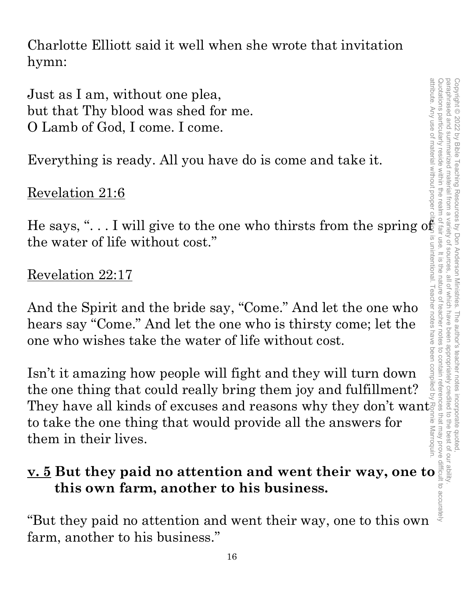Charlotte Elliott said it well when she wrote that invitation hymn:

Just as I am, without one plea, but that Thy blood was shed for me. O Lamb of God, I come. I come.

Everything is ready. All you have do is come and take it.

### Revelation 21:6

He says, "... I will give to the one who thirsts from the spring of the water of life without cost."

### Revelation 22:17

And the Spirit and the bride say, "Come." And let the one who hears say "Come." And let the one who is thirsty come; let the one who wishes take the water of life without cost.

Isn't it amazing how people will fight and they will turn down the one thing that could really bring them joy and fulfillment? They have all kinds of excuses and reasons why they don't want to take the one thing that would provide all the answers for them in their lives.

### **v. 5 But they paid no attention and went their way, one to this own farm, another to his business.**

"But they paid no attention and went their way, one to this own farm, another to his business."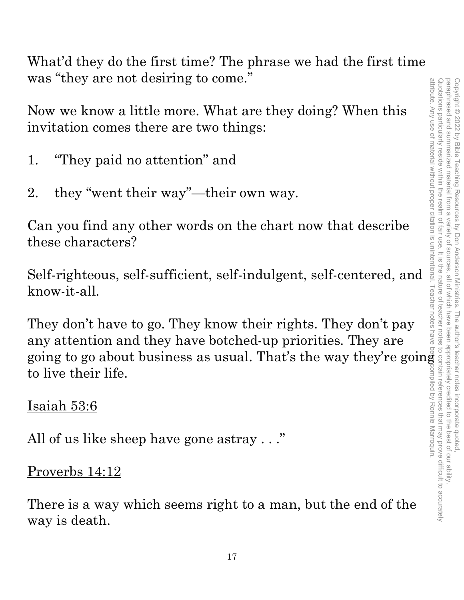What'd they do the first time? The phrase we had the first time was "they are not desiring to come."

Now we know a little more. What are they doing? When this invitation comes there are two things:

- 1. "They paid no attention" and
- 2. they "went their way"—their own way.

Can you find any other words on the chart now that describe these characters?

Self-righteous, self-sufficient, self-indulgent, self-centered, and know-it-all.

They don't have to go. They know their rights. They don't pay any attention and they have botched-up priorities. They are going to go about business as usual. That's the way they're going to live their life.

Isaiah 53:6

All of us like sheep have gone astray . . ."

Proverbs 14:12

There is a way which seems right to a man, but the end of the way is death.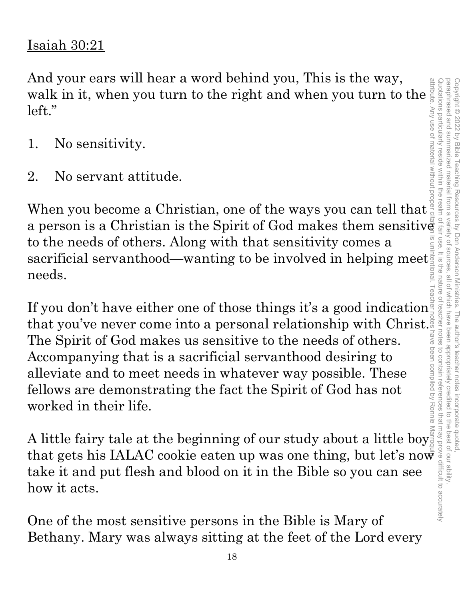### Quotations particularly reside within the paraphrased and summarized attribute. Any use of material without proper citation is unintentional. Teacher notes have been compiled by Ronnie Marroquin.Quotations particularly reside within the realm of fair use. It is the nature of teacher notes to contain references that may prove difficult to accurately paraphrased and summarized material from a variety of sources, all of which have been appropriately credited to the best of our ability. Copyright © 2022 by Bible Copyright © 2022 by Bible Teaching Resources by Don Anderson Ministries. The author's teacher notes incorporate quoted, **Teaching Resources** material realm by Don Anderson Ministries. The author's teacher notes incorporate quotec sources all of Which have been appropriately credited I to the best of our ability

### Isaiah 30:21

And your ears will hear a word behind you, This is the way, And you ears will hear a word behind you, This is the way,<br>walk in it, when you turn to the right and when you turn to the<br>left."<br>1. No sensitivity.<br>2. No servant attitude.<br>When you become a Christian, one of the ways you left."

- 1. No sensitivity.
- 2. No servant attitude.

When you become a Christian, one of the ways you can tell that to the needs of others. Along with that sensitivity comes a sacrificial servanthood—wanting to be involved in helping meet needs.

a person is a Christian is the Spirit of God makes them sensitive<br>to the needs of others. Along with that sensitivity comes a<br>sacrificial servanthood—wanting to be involved in helping meet<br>is a sacrificial servanthood—wan If you don't have either one of those things it's a good indication that you've never come into a personal relationship with Christ. The Spirit of God makes us sensitive to the needs of others. Accompanying that is a sacrificial servanthood desiring to alleviate and to meet needs in whatever way possible. These fellows are demonstrating the fact the Spirit of God has not worked in their life.

A little fairy tale at the beginning of our study about a little boy that gets his IALAC cookie eaten up was one thing, but let's now take it and put flesh and blood on it in the Bible so you can see how it acts.

One of the most sensitive persons in the Bible is Mary of Bethany. Mary was always sitting at the feet of the Lord every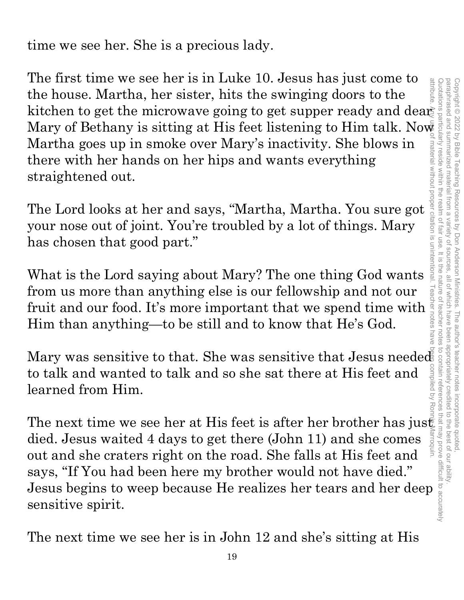The first time we see her is in Luke 10. Jesus has just come to The first time we see her is in Luke 10. Jesus has just come to<br>the house. Martha, her sister, hits the swinging doors to the<br>hicrowave going to get supper ready and dear<br>Martha goes up in smoke over Mary's inactivity. Sh attribute the house. Martha, her sister, hits the swinging doors to the Mary of Bethany is sitting at His feet listening to Him talk. Now Martha goes up in smoke over Mary's inactivity. She blows in there with her hands on her hips and wants everything straightened out.

Martha goes up in smoke over Mary's inactivity. She blows in<br>there with her hands on her hips and wants everything<br>straightened out.<br>The Lord looks at her and says, "Martha, Martha. You sure got<br>your nose out of joint. Yo your nose out of joint. You're troubled by a lot of things. Mary has chosen that good part."

What is the Lord saying about Mary? The one thing God wants from us more than anything else is our fellowship and not our from us more than anything else is our fellowship and not our firuit and our food. It's more important that we spend time with  $\frac{1}{2}$ .<br>Him than anything—to be still and to know that He's God. Him than anything—to be still and to know that He's God.

to talk and wanted to talk and so she sat there at His feet and learned from Him.

Mary was sensitive to that. She was sensitive that Jesus needed<br>to talk and wanted to talk and so she sat there at His feet and<br>learned from Him.<br>The next time we see her at His feet is after her brother has just<br>died. Je The next time we see her at His feet is after her brother has just died. Jesus waited 4 days to get there (John 11) and she comes out and she craters right on the road. She falls at His feet and says, "If You had been here my brother would not have died." Jesus begins to weep because He realizes her tears and her deep sensitive spirit.

The next time we see her is in John 12 and she's sitting at His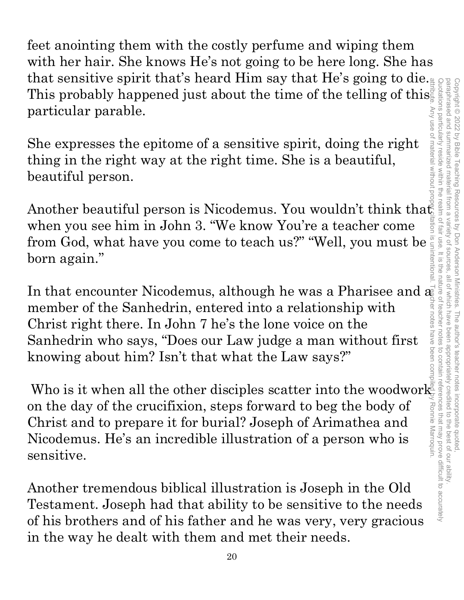feet anointing them with the costly perfume and wiping them with her hair. She knows He's not going to be here long. She has that sensitive spirit that's heard Him say that He's going to die. This probably happened just about the time of the telling of this particular parable. Quotations particularly reside within the realm of fair use. It is the nature of teacher notes to contain references that may prove difficult to accurately

She expresses the epitome of a sensitive spirit, doing the right thing in the right way at the right time. She is a beautiful, beautiful person.

Another beautiful person is Nicodemus. You wouldn't think tha $\mathfrak{t}_2^{\mathbb{R}}$ when you see him in John 3. "We know You're a teacher come from God, what have you come to teach us?" "Well, you must be born again."

In that encounter Nicodemus, although he was a Pharisee and  $a_{\!\vec{k}}$ member of the Sanhedrin, entered into a relationship with Christ right there. In John 7 he's the lone voice on the Sanhedrin who says, "Does our Law judge a man without first knowing about him? Isn't that what the Law says?"

Who is it when all the other disciples scatter into the woodwork $\frac{1}{2}$ on the day of the crucifixion, steps forward to beg the body of Christ and to prepare it for burial? Joseph of Arimathea and Nicodemus. He's an incredible illustration of a person who is sensitive. attribute. Any use of material without proper citation is unintentional. Teacher notes have been compiled by Ronnie Marroquin.

Another tremendous biblical illustration is Joseph in the Old Testament. Joseph had that ability to be sensitive to the needs of his brothers and of his father and he was very, very gracious in the way he dealt with them and met their needs.

Copyright © 2022 by Bible Teaching Resources by Don Anderson Ministries. The author's teacher notes incorporate quoted,

paraphrased and summarized material from a variety of sources, all of which have been appropriately credited to the best of our ability.

i by Don Anderson Ministries. The author's teacher notes incorporate quoted,<br>ariety of sources, all of which have been appropriately credited to the best of our ability.

paraphrased and summarized material

from a

variety of sources

Copyright © 2022 by Bible Teaching Resources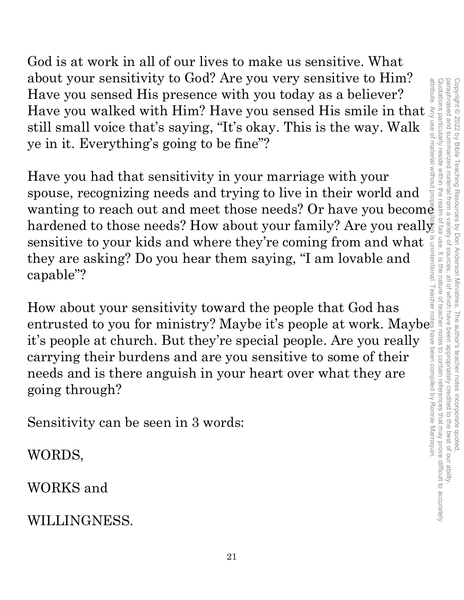God is at work in all of our lives to make us sensitive. What about your sensitivity to God? Are you very sensitive to Him? Have you sensed His presence with you today as a believer? Have you walked with Him? Have you sensed His smile in that still small voice that's saying, "It's okay. This is the way. Walk ye in it. Everything's going to be fine"?

Have you had that sensitivity in your marriage with your spouse, recognizing needs and trying to live in their world and wanting to reach out and meet those needs? Or have you become hardened to those needs? How about your family? Are you reall $\frac{2}{3}$ sensitive to your kids and where they're coming from and what they are asking? Do you hear them saying, "I am lovable and capable"?

How about your sensitivity toward the people that God has entrusted to you for ministry? Maybe it's people at work. Maybe it's people at church. But they're special people. Are you really carrying their burdens and are you sensitive to some of their needs and is there anguish in your heart over what they are going through?

Sensitivity can be seen in 3 words:

WORDS,

WORKS and

WILLINGNESS.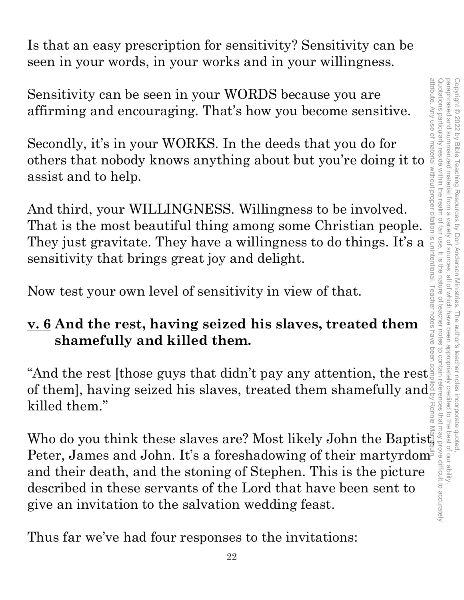Is that an easy prescription for sensitivity? Sensitivity can be seen in your words, in your works and in your willingness.

Sensitivity can be seen in your WORDS because you are affirming and encouraging. That's how you become sensitive.

Secondly, it's in your WORKS. In the deeds that you do for others that nobody knows anything about but you're doing it to assist and to help.

And third, your WILLINGNESS. Willingness to be involved. That is the most beautiful thing among some Christian people. They just gravitate. They have a willingness to do things. It's a sensitivity that brings great joy and delight.

Now test your own level of sensitivity in view of that.

### **v. 6 And the rest, having seized his slaves, treated them shamefully and killed them.**

"And the rest [those guys that didn't pay any attention, the rest. of them], having seized his slaves, treated them shamefully and  $\frac{1}{2}$ killed them."

"And the rest [those guys that didn't pay any attention, the rest is<br>of them], having seized his slaves, treated them shamefully and<br>killed them."<br>Who do you think these slaves are? Most likely John the Baptist,<br>Peter, Ja Peter, James and John. It's a foreshadowing of their martyrdom and their death, and the stoning of Stephen. This is the picture described in these servants of the Lord that have been sent to give an invitation to the salvation wedding feast.

Thus far we've had four responses to the invitations: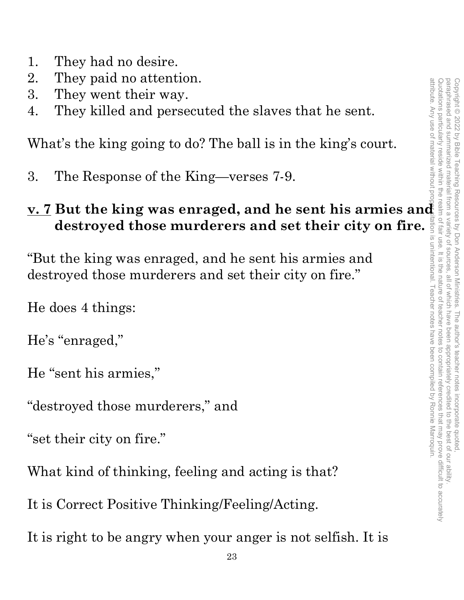- 1. They had no desire.
- 2. They paid no attention.
- 3. They went their way.
- 4. They killed and persecuted the slaves that he sent.

What's the king going to do? The ball is in the king's court.

3. The Response of the King—verses 7-9.

# **2.** Huy paut their way.<br> **3.** They went their way.<br> **4.** They killed and persecuted the slaves that he sent.<br>
What's the king going to do? The ball is in the king's court.<br> **3.** The Response of the King-verses 7-9.<br> **2. destroyed those murderers and set their city on fire.**

"But the king was enraged, and he sent his armies and destroyed those murderers and set their city on fire."

He does 4 things:

He's "enraged,"

He "sent his armies,"

"destroyed those murderers," and

"set their city on fire."

What kind of thinking, feeling and acting is that?

It is Correct Positive Thinking/Feeling/Acting.

It is right to be angry when your anger is not selfish. It is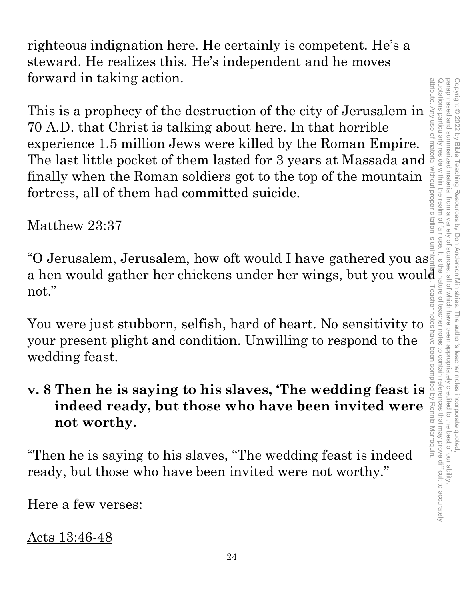righteous indignation here. He certainly is competent. He's a steward. He realizes this. He's independent and he moves forward in taking action.

This is a prophecy of the destruction of the city of Jerusalem in 70 A.D. that Christ is talking about here. In that horrible experience 1.5 million Jews were killed by the Roman Empire. 70 A.D. that Christ is talking about here. In that horrible experience 1.5 million Jews were killed by the Roman Empire.<br>The last little pocket of them lasted for 3 years at Massada and finally when the Roman soldiers got finally when the Roman soldiers got to the top of the mountain fortress, all of them had committed suicide.

### Matthew 23:37

"O Jerusalem, Jerusalem, how oft would I have gathered you as "O Jerusalem, Jerusalem, how oft would I have gathered you as a hen would gather her chickens under her wings, but you would not."<br>
You were just stubborn, selfish, hard of heart. No sensitivity to sensitivity of your pre not."

You were just stubborn, selfish, hard of heart. No sensitivity to your present plight and condition. Unwilling to respond to the wedding feast.

## **v. 8 Then he is saying to his slaves** "The wedding feast is indeed<br>
"<br>**Property present plight and condition. Unwilling to respond to the wedding feast.<br>
<b>v. 8 Then he is saying to his slaves, 'The wedding feast is indeed ready, but those who have been invited were not worthy.**

"Then he is saying to his slaves, "The wedding feast is indeed ready, but those who have been invited were not worthy."

Here a few verses:

Acts 13:46-48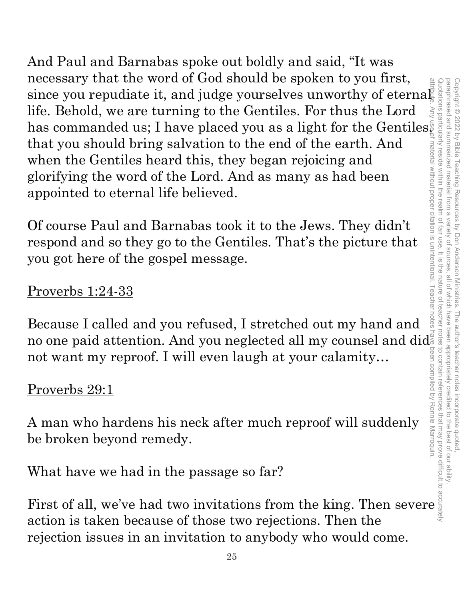And Paul and Barnabas spoke out boldly and said, "It was necessary that the word of God should be spoken to you first, since you repudiate it, and judge yourselves unworthy of eternal life. Behold, we are turning to the Gentiles. For thus the Lord has commanded us; I have placed you as a light for the Gentiles, that you should bring salvation to the end of the earth. And when the Gentiles heard this, they began rejoicing and glorifying the word of the Lord. And as many as had been appointed to eternal life believed. necessary that the word of use books from the thing. Then severe is ally the position is the had that a commanded us; I have placed you as a light for the Gentiles and that you should bring salvation to the end of the eart

Of course Paul and Barnabas took it to the Jews. They didn't respond and so they go to the Gentiles. That's the picture that you got here of the gospel message.

### Proverbs 1:24-33

Because I called and you refused, I stretched out my hand and no one paid attention. And you neglected all my counsel and did not want my reproof. I will even laugh at your calamity…

### Proverbs 29:1

A man who hardens his neck after much reproof will suddenly be broken beyond remedy.

What have we had in the passage so far?

action is taken because of those two rejections. Then the rejection issues in an invitation to anybody who would come.

paraphrased and summarized material from Copyright © 2022 by Bible Teaching Resources

 $\overline{\omega}$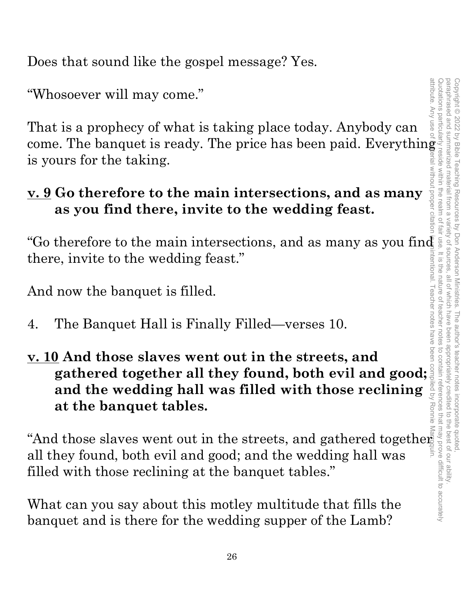Does that sound like the gospel message? Yes.

"Whosoever will may come."

That is a prophecy of what is taking place today. Anybody can come. The banquet is ready. The price has been paid. Everything is yours for the taking.

### **v. 9 Go therefore to the main intersections, and as many as you find there, invite to the wedding feast.**

"Go therefore to the main intersections, and as many as you find there, invite to the wedding feast."

And now the banquet is filled.

- 4. The Banquet Hall is Finally Filled—verses 10.
- **v. 10 And those slaves went out in the streets, and gathered together all they found, both everlining and the wedding hall was filled with those reclining and the wedding hall was filled with those reclining and the wedding hall was filled with those reclining and the wedd and the wedding hall was filled with those reclining at the banquet tables.**

"And those slaves went out in the streets, and gathered together all they found, both evil and good; and the wedding hall was filled with those reclining at the banquet tables."

What can you say about this motley multitude that fills the banquet and is there for the wedding supper of the Lamb?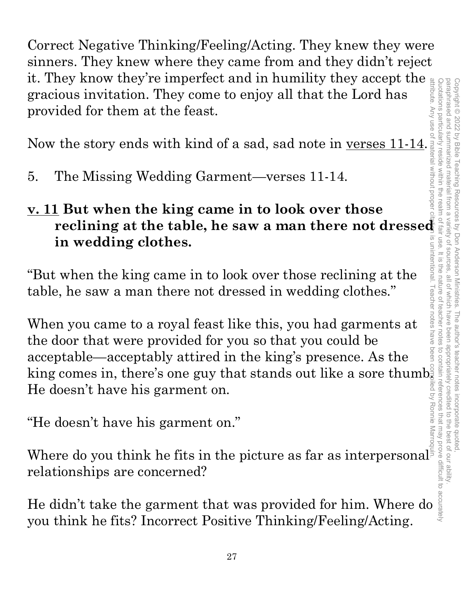Correct Negative Thinking/Feeling/Acting. They knew they were sinners. They knew where they came from and they didn't reject it. They know they're imperfect and in humility they accept the gracious invitation. They come to enjoy all that the Lord has provided for them at the feast.

Now the story ends with kind of a sad, sad note in <u>verses 11-14</u>.

5. The Missing Wedding Garment—verses 11-14.

### **v. 11 But when the king came in to look over those reclining at the table, he saw a man there not dressed in wedding clothes.**

"But when the king came in to look over those reclining at the table, he saw a man there not dressed in wedding clothes."

When you came to a royal feast like this, you had garments at the door that were provided for you so that you could be acceptable—acceptably attired in the king's presence. As the king comes in, there's one guy that stands out like a sore thumb $\frac{8}{3}$ He doesn't have his garment on. **Example 12.1 The didn't take the garment that was provided for him. Where we think he fits?**<br>
He didn't take the garment that was provided for him. When  $\frac{1}{2}$  and  $\frac{1}{2}$  and  $\frac{1}{2}$  and  $\frac{1}{2}$  are acceptabl

"He doesn't have his garment on."

Where do you think he fits in the picture as far as interpersonal relationships are concerned?

you think he fits? Incorrect Positive Thinking/Feeling/Acting.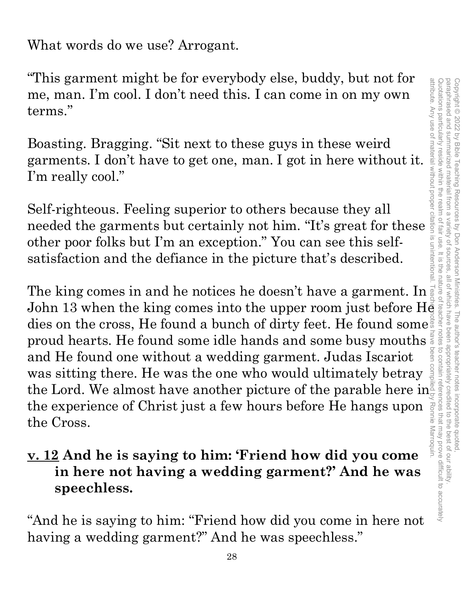What words do we use? Arrogant.

"This garment might be for everybody else, buddy, but not for me, man. I'm cool. I don't need this. I can come in on my own terms."

Boasting. Bragging. "Sit next to these guys in these weird garments. I don't have to get one, man. I got in here without it. I'm really cool."

Self-righteous. Feeling superior to others because they all This garment might be for everybody else, buddy, but not for<br>me, man. I'm cool. I don't need this. I can come in on my own<br>terms."<br>Boasting. Bragging. "Sit next to these guys in these weird<br>garments. I don't have to get o other poor folks but I'm an exception." You can see this selfsatisfaction and the defiance in the picture that's described. This garment might be for everybody eise, buddy, but not for<br>
me, man. I'm cool. I don't need this. I can come in on my own<br>
terms."<br>
Boasting. Bragging. "Sit next to these guys in these weird<br>
garments. I don't have to g

The king comes in and he notices he doesn't have a garment. In dies on the cross, He found a bunch of dirty feet. He found some proud hearts. He found some idle hands and some busy mouths  $\frac{3}{8}$ and He found one without a wedding garment. Judas Iscariot was sitting there. He was the one who would ultimately betray the Lord. We almost have another picture of the parable here in the experience of Christ just a few hours before He hangs upon Ronnie the Cross.

### **v. 12 And he is saying to him: 'Friend how did you come in here not having a wedding garment?' And he was speechless.**

"And he is saying to him: "Friend how did you come in here not having a wedding garment?" And he was speechless."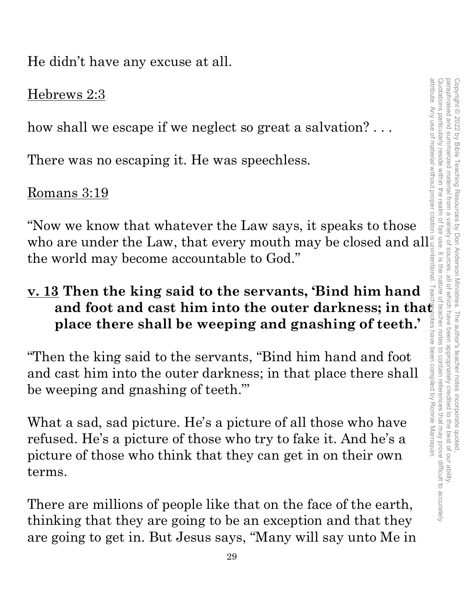He didn't have any excuse at all.

### Hebrews 2:3

how shall we escape if we neglect so great a salvation? . . .

There was no escaping it. He was speechless.

### Romans 3:19

"Now we know that whatever the Law says, it speaks to those who are under the Law, that every mouth may be closed and all the world may become accountable to God."

### **v. 13 Then the king said to the servants, 'Bind him hand**  and foot and cast him into the outer darkness; in tha<del>t</del> **place there shall be weeping and gnashing of teeth.'**

"Then the king said to the servants, "Bind him hand and foot and cast him into the outer darkness; in that place there shall be weeping and gnashing of teeth."'

What a sad, sad picture. He's a picture of all those who have refused. He's a picture of those who try to fake it. And he's a picture of those who think that they can get in on their own terms.

There are millions of people like that on the face of the earth, thinking that they are going to be an exception and that they are going to get in. But Jesus says, "Many will say unto Me in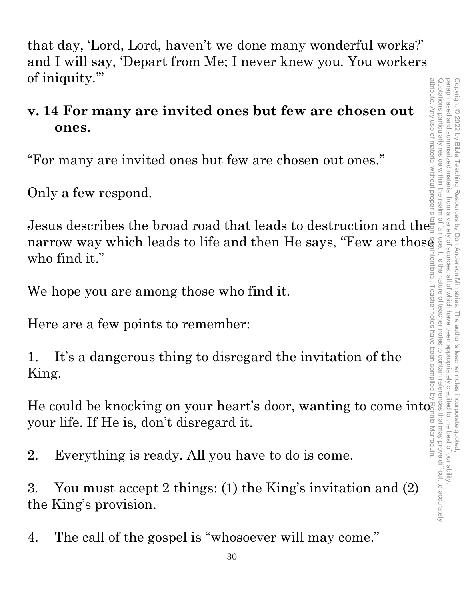that day, 'Lord, Lord, haven't we done many wonderful works?' and I will say, 'Depart from Me; I never knew you. You workers of iniquity.'" attribute. Any use of material without proper

### **v. 14 For many are invited ones but few are chosen out ones.**

"For many are invited ones but few are chosen out ones."

Only a few respond.

Jesus describes the broad road that leads to destruction and the narrow way which leads to life and then He says, "Few are those" who find it." attribute. Any use of material without proper citation is unintentional. Teacher notes have been compiled by Ronnie Marroquin.

We hope you are among those who find it.

Here are a few points to remember:

1. It's a dangerous thing to disregard the invitation of the King.

He could be knocking on your heart's door, wanting to come into your life. If He is, don't disregard it.

2. Everything is ready. All you have to do is come.

3. You must accept 2 things: (1) the King's invitation and (2) the King's provision.

4. The call of the gospel is "whosoever will may come."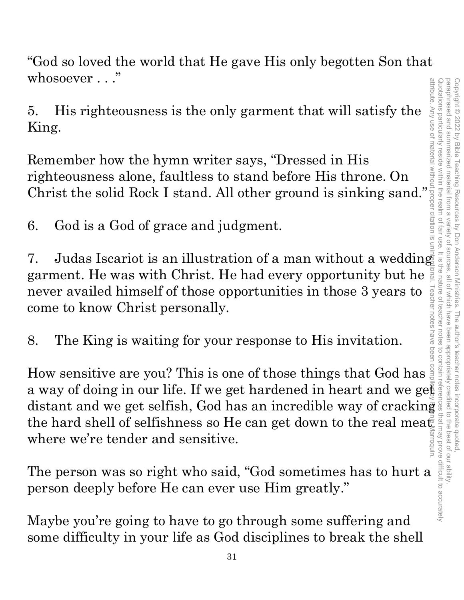"God so loved the world that He gave His only begotten Son that whosoever . . ."

5. His righteousness is the only garment that will satisfy the King.

Remember how the hymn writer says, "Dressed in His righteousness alone, faultless to stand before His throne. On This righteousness is the only garment that will satisfy the  $\frac{1}{2}$ <br>King.<br>Remember how the hymn writer says, "Dressed in His<br>righteousness alone, faultless to stand before His throne. On<br>Christ the solid Rock I stand.

6. God is a God of grace and judgment.

7. Judas Iscariot is an illustration of a man without a wedding garment. He was with Christ. He had every opportunity but he never availed himself of those opportunities in those 3 years to come to know Christ personally. how christ personally.<br>
How sensitive are you? This is one of those things that God has

8. The King is waiting for your response to His invitation.

a way of doing in our life. If we get hardened in heart and we get distant and we get selfish, God has an incredible way of cracking<br>the hard shell of selfishness so He can get down to the real meature<br>where we're tender and sensitive.<br>The person was so right who said, "God sometimes has the hard shell of selfishness so He can get down to the real meat where we're tender and sensitive.

The person was so right who said, "God sometimes has to hurt a person deeply before He can ever use Him greatly."

Maybe you're going to have to go through some suffering and some difficulty in your life as God disciplines to break the shell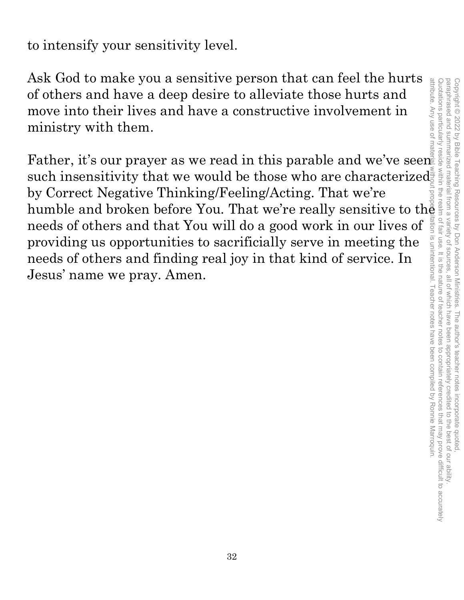to intensify your sensitivity level.

Ask God to make you a sensitive person that can feel the hurts of others and have a deep desire to alleviate those hurts and move into their lives and have a constructive involvement in ministry with them.

Father, it's our prayer as we read in this parable and we've seen such insensitivity that we would be those who are characterized by Correct Negative Thinking/Feeling/Acting. That we're humble and broken before You. That we're really sensitive to the needs of others and that You will do a good work in our lives of providing us opportunities to sacrificially serve in meeting the needs of others and finding real joy in that kind of service. In Jesus' name we pray. Amen.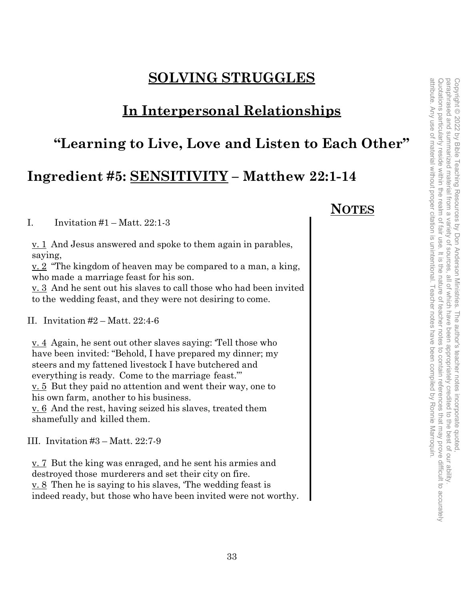### **SOLVING STRUGGLES**

### **In Interpersonal Relationships**

### **"Learning to Live, Love and Listen to Each Other"**

### **Ingredient #5: SENSITIVITY – Matthew 22:1-14**

I. Invitation  $#1 - \text{Matt. } 22:1-3$ 

<u>v. 1</u> And Jesus answered and spoke to them again in parables, saying,

<u>v. 2</u> "The kingdom of heaven may be compared to a man, a king, who made a marriage feast for his son.

v. 3 And he sent out his slaves to call those who had been invited to the wedding feast, and they were not desiring to come.

II. Invitation #2 – Matt. 22:4-6

v. 4 Again, he sent out other slaves saying: 'Tell those who have been invited: "Behold, I have prepared my dinner; my steers and my fattened livestock I have butchered and everything is ready. Come to the marriage feast."' v. 5 But they paid no attention and went their way, one to his own farm, another to his business. v. 6 And the rest, having seized his slaves, treated them shamefully and killed them.

III. Invitation #3 – Matt. 22:7-9

v. 7 But the king was enraged, and he sent his armies and destroyed those murderers and set their city on fire. v. 8 Then he is saying to his slaves, 'The wedding feast is indeed ready, but those who have been invited were not worthy.

### **NOTES**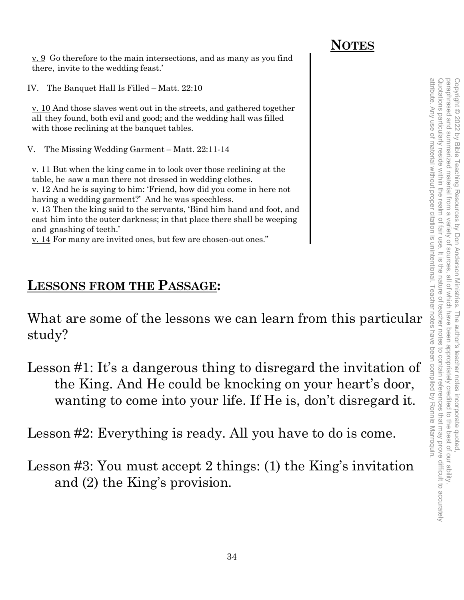### **NOTES**

 $\underline{v}$ .  $\underline{9}$  Go therefore to the main intersections, and as many as you find there, invite to the wedding feast.'

IV. The Banquet Hall Is Filled – Matt. 22:10

v. 10 And those slaves went out in the streets, and gathered together all they found, both evil and good; and the wedding hall was filled with those reclining at the banquet tables.

V. The Missing Wedding Garment – Matt. 22:11-14

v. 11 But when the king came in to look over those reclining at the table, he saw a man there not dressed in wedding clothes. v. 12 And he is saying to him: 'Friend, how did you come in here not having a wedding garment?' And he was speechless. v. 13 Then the king said to the servants, 'Bind him hand and foot, and cast him into the outer darkness; in that place there shall be weeping and gnashing of teeth.'

v. 14 For many are invited ones, but few are chosen-out ones."

### **LESSONS FROM THE PASSAGE:**

What are some of the lessons we can learn from this particular study?

Lesson #1: It's a dangerous thing to disregard the invitation of the King. And He could be knocking on your heart's door, wanting to come into your life. If He is, don't disregard it.

Lesson #2: Everything is ready. All you have to do is come.

Lesson #3: You must accept 2 things: (1) the King's invitation and (2) the King's provision.